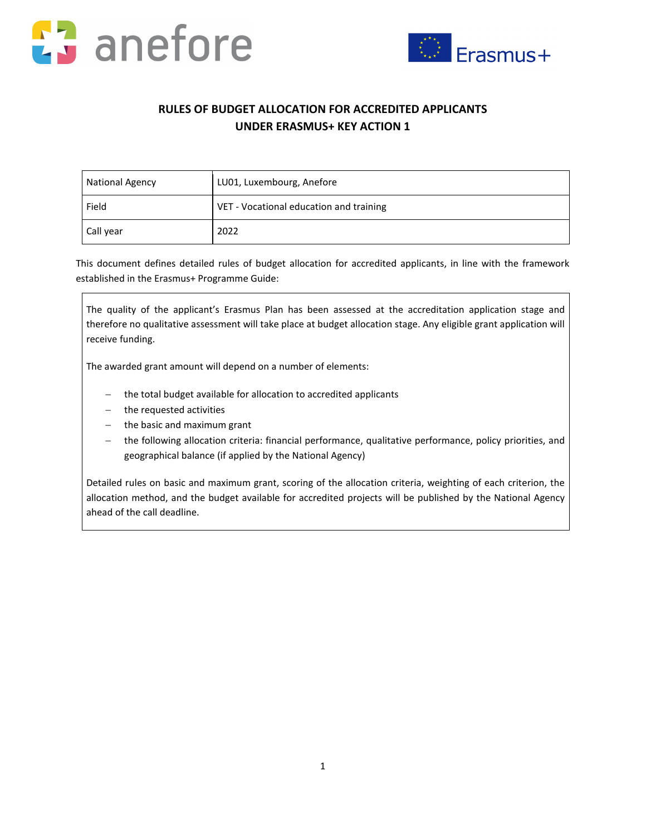



## **RULES OF BUDGET ALLOCATION FOR ACCREDITED APPLICANTS UNDER ERASMUS+ KEY ACTION 1**

| <b>National Agency</b> | LU01, Luxembourg, Anefore               |  |  |
|------------------------|-----------------------------------------|--|--|
| Field                  | VET - Vocational education and training |  |  |
| Call year              | 2022                                    |  |  |

This document defines detailed rules of budget allocation for accredited applicants, in line with the framework established in the Erasmus+ Programme Guide:

The quality of the applicant's Erasmus Plan has been assessed at the accreditation application stage and therefore no qualitative assessment will take place at budget allocation stage. Any eligible grant application will receive funding.

The awarded grant amount will depend on a number of elements:

- the total budget available for allocation to accredited applicants
- − the requested activities
- − the basic and maximum grant
- − the following allocation criteria: financial performance, qualitative performance, policy priorities, and geographical balance (if applied by the National Agency)

Detailed rules on basic and maximum grant, scoring of the allocation criteria, weighting of each criterion, the allocation method, and the budget available for accredited projects will be published by the National Agency ahead of the call deadline.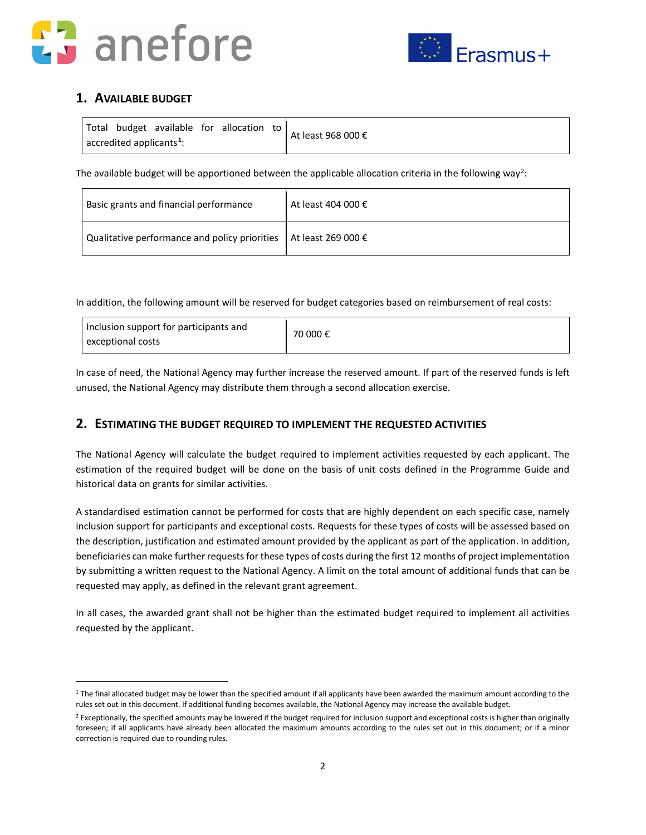



## **1. AVAILABLE BUDGET**

| Total budget available for allocation to        |  | At least 968 000 € |
|-------------------------------------------------|--|--------------------|
| $\sqrt{ }$ accredited applicants <sup>1</sup> : |  |                    |

The available budget will be apportioned between the applicable allocation criteria in the following way<sup>[2](#page-1-1)</sup>:

| Basic grants and financial performance                                      | At least 404 000 $\epsilon$ |
|-----------------------------------------------------------------------------|-----------------------------|
| Qualitative performance and policy priorities   At least 269 000 $\epsilon$ |                             |

In addition, the following amount will be reserved for budget categories based on reimbursement of real costs:

| I Inclusion support for participants and<br>exceptional costs | 70 000 € |
|---------------------------------------------------------------|----------|
|---------------------------------------------------------------|----------|

In case of need, the National Agency may further increase the reserved amount. If part of the reserved funds is left unused, the National Agency may distribute them through a second allocation exercise.

### **2. ESTIMATING THE BUDGET REQUIRED TO IMPLEMENT THE REQUESTED ACTIVITIES**

The National Agency will calculate the budget required to implement activities requested by each applicant. The estimation of the required budget will be done on the basis of unit costs defined in the Programme Guide and historical data on grants for similar activities.

A standardised estimation cannot be performed for costs that are highly dependent on each specific case, namely inclusion support for participants and exceptional costs. Requests for these types of costs will be assessed based on the description, justification and estimated amount provided by the applicant as part of the application. In addition, beneficiaries can make further requests for these types of costs during the first 12 months of project implementation by submitting a written request to the National Agency. A limit on the total amount of additional funds that can be requested may apply, as defined in the relevant grant agreement.

In all cases, the awarded grant shall not be higher than the estimated budget required to implement all activities requested by the applicant.

<span id="page-1-0"></span><sup>&</sup>lt;sup>1</sup> The final allocated budget may be lower than the specified amount if all applicants have been awarded the maximum amount according to the rules set out in this document. If additional funding becomes available, the National Agency may increase the available budget.

<span id="page-1-1"></span><sup>&</sup>lt;sup>2</sup> Exceptionally, the specified amounts may be lowered if the budget required for inclusion support and exceptional costs is higher than originally foreseen; if all applicants have already been allocated the maximum amounts according to the rules set out in this document; or if a minor correction is required due to rounding rules.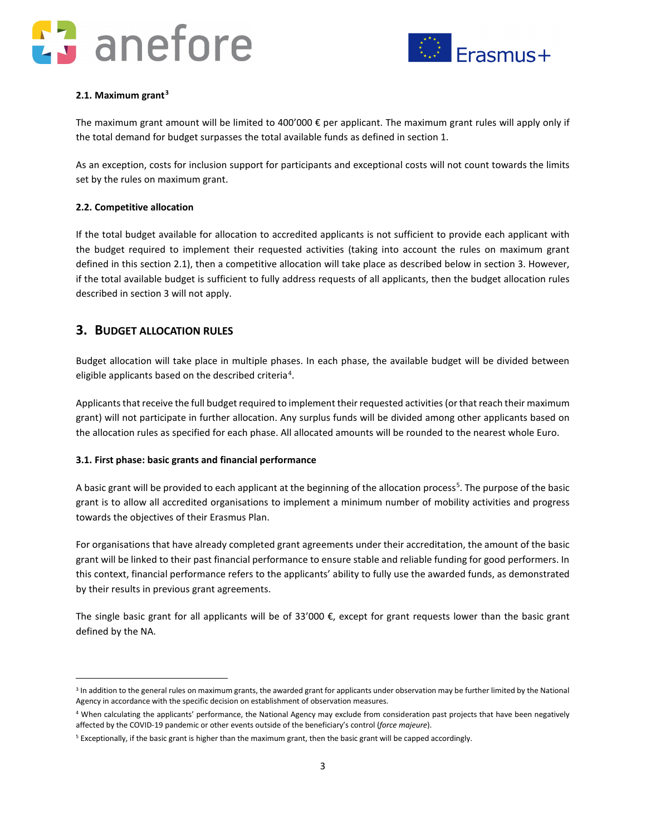## anefore



#### **2.1. Maximum grant[3](#page-2-0)**

The maximum grant amount will be limited to 400'000 € per applicant. The maximum grant rules will apply only if the total demand for budget surpasses the total available funds as defined in section 1.

As an exception, costs for inclusion support for participants and exceptional costs will not count towards the limits set by the rules on maximum grant.

#### **2.2. Competitive allocation**

If the total budget available for allocation to accredited applicants is not sufficient to provide each applicant with the budget required to implement their requested activities (taking into account the rules on maximum grant defined in this section 2.1), then a competitive allocation will take place as described below in section 3. However, if the total available budget is sufficient to fully address requests of all applicants, then the budget allocation rules described in section 3 will not apply.

### **3. BUDGET ALLOCATION RULES**

Budget allocation will take place in multiple phases. In each phase, the available budget will be divided between eligible applicants based on the described criteria<sup>[4](#page-2-1)</sup>.

Applicants that receive the full budget required to implement their requested activities (or that reach their maximum grant) will not participate in further allocation. Any surplus funds will be divided among other applicants based on the allocation rules as specified for each phase. All allocated amounts will be rounded to the nearest whole Euro.

#### **3.1. First phase: basic grants and financial performance**

A basic grant will be provided to each applicant at the beginning of the allocation process<sup>[5](#page-2-2)</sup>. The purpose of the basic grant is to allow all accredited organisations to implement a minimum number of mobility activities and progress towards the objectives of their Erasmus Plan.

For organisations that have already completed grant agreements under their accreditation, the amount of the basic grant will be linked to their past financial performance to ensure stable and reliable funding for good performers. In this context, financial performance refers to the applicants' ability to fully use the awarded funds, as demonstrated by their results in previous grant agreements.

The single basic grant for all applicants will be of 33'000 €, except for grant requests lower than the basic grant defined by the NA.

<span id="page-2-0"></span><sup>&</sup>lt;sup>3</sup> In addition to the general rules on maximum grants, the awarded grant for applicants under observation may be further limited by the National Agency in accordance with the specific decision on establishment of observation measures.

<span id="page-2-1"></span><sup>4</sup> When calculating the applicants' performance, the National Agency may exclude from consideration past projects that have been negatively affected by the COVID-19 pandemic or other events outside of the beneficiary's control (*force majeure*).

<span id="page-2-2"></span><sup>5</sup> Exceptionally, if the basic grant is higher than the maximum grant, then the basic grant will be capped accordingly.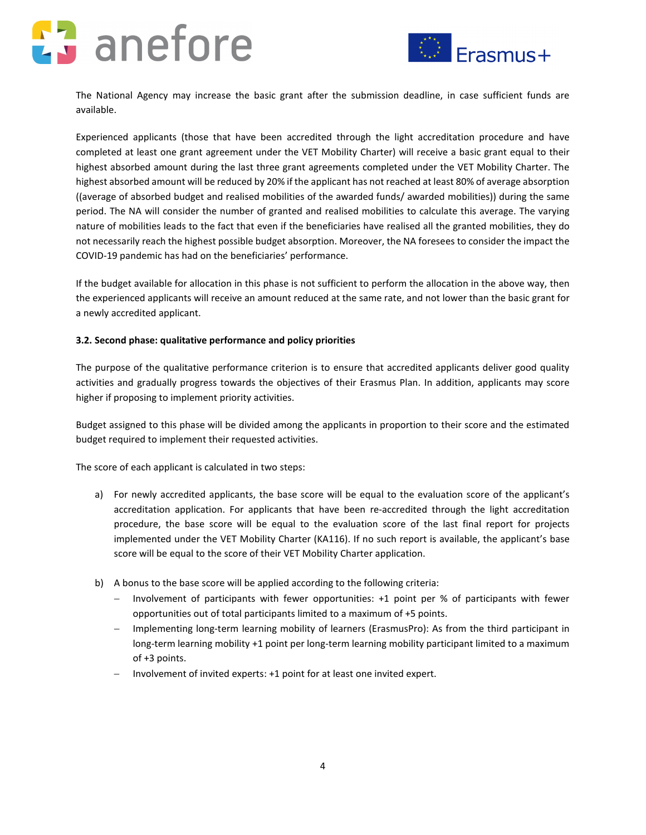# anefore



The National Agency may increase the basic grant after the submission deadline, in case sufficient funds are available.

Experienced applicants (those that have been accredited through the light accreditation procedure and have completed at least one grant agreement under the VET Mobility Charter) will receive a basic grant equal to their highest absorbed amount during the last three grant agreements completed under the VET Mobility Charter. The highest absorbed amount will be reduced by 20% if the applicant has not reached at least 80% of average absorption ((average of absorbed budget and realised mobilities of the awarded funds/ awarded mobilities)) during the same period. The NA will consider the number of granted and realised mobilities to calculate this average. The varying nature of mobilities leads to the fact that even if the beneficiaries have realised all the granted mobilities, they do not necessarily reach the highest possible budget absorption. Moreover, the NA foresees to consider the impact the COVID-19 pandemic has had on the beneficiaries' performance.

If the budget available for allocation in this phase is not sufficient to perform the allocation in the above way, then the experienced applicants will receive an amount reduced at the same rate, and not lower than the basic grant for a newly accredited applicant.

#### **3.2. Second phase: qualitative performance and policy priorities**

The purpose of the qualitative performance criterion is to ensure that accredited applicants deliver good quality activities and gradually progress towards the objectives of their Erasmus Plan. In addition, applicants may score higher if proposing to implement priority activities.

Budget assigned to this phase will be divided among the applicants in proportion to their score and the estimated budget required to implement their requested activities.

The score of each applicant is calculated in two steps:

- a) For newly accredited applicants, the base score will be equal to the evaluation score of the applicant's accreditation application. For applicants that have been re-accredited through the light accreditation procedure, the base score will be equal to the evaluation score of the last final report for projects implemented under the VET Mobility Charter (KA116). If no such report is available, the applicant's base score will be equal to the score of their VET Mobility Charter application.
- b) A bonus to the base score will be applied according to the following criteria:
	- − Involvement of participants with fewer opportunities: +1 point per % of participants with fewer opportunities out of total participants limited to a maximum of +5 points.
	- − Implementing long-term learning mobility of learners (ErasmusPro): As from the third participant in long-term learning mobility +1 point per long-term learning mobility participant limited to a maximum of +3 points.
	- − Involvement of invited experts: +1 point for at least one invited expert.